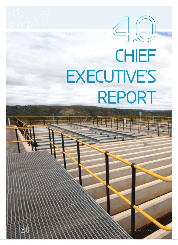# $\frac{1}{2}$ **CHIEF EXECUTIVE'S** REPORT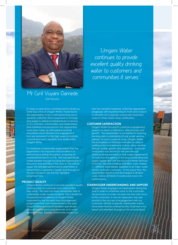

*"Umgeni Water continues to provide excellent quality drinking water to customers and communities it serves."*

# Mr Cyril Vuyani Gamede *Chief Executive*

It's been a year since I commenced my duties as Chief Executive of Umgeni Water. I have found the organisation to be a well performing and a dynamic institution that is responsive to change and eager to deliver increased levels of service to its customers, communities and stakeholders. New initiatives introduced into the organisation have been taken up with passion and has stimulated robust debate and engagement that are testament to the high levels of maturity, commitment and capability that reside within Umgeni Water.

It is therefore a reasonable expectation that the organisation has improved and excelled in its performance during this period, achieving an overall performance of 91%. This was specifically made possible through focusing the organisation's resources and activities in the year on the critical areas. The detailed performance information is presented in a separate chapter and throughout this annual report with the key highlights presented here.

#### **PRODUCT QUALITY**

Umgeni Water continues to provide excellent quality drinking water to customers and communities they serve. The year has been remarkably free of undesirable water quality incidents. This is evidence of operational excellence at Umgeni Water supported by the focused asset management programme that was implemented in the year. Umgeni Water invested R152million specifically in asset maintenance and renewals at its water treatment sites. Equally, wastewater quality has

met the standard targeted, whilst the organisation progresses with implementing its multi-year projects to refurbish and upgrade wastewater treatment works to attain Green Drop certification.

#### **CUSTOMER SATISFACTION**

Umgeni Water focused its customer engagement sessions on issues of efficiency, effectiveness and growth. The organisation is committed to ensuring the long-term sustainability of bulk water services delivery for each customer area. Umgeni Water has embarked on initiatives that seek to reduce inefficiencies and advance mutual value creation through further growth and expansion. Customer satisfaction was assured in the year through meeting all requirements of bulk supply agreements. Of note was the signing of the long outstanding bulk supply agreement with the Msunduzi Water Services Authority. Volumes totalling 423million cubic metres (1 159Ml/d) were reliably supplied to six major water service authority customers. At the same time, the organisation treated and discharged 31.8million cubic metres (87Ml/d) of wastewater back into watercourses.

#### **STAKEHOLDER UNDERSTANDING AND SUPPORT**

Umgeni Water engaged all stakeholders during the year in order to maximise value to the customers. The economy of scale concept was the main focus to the customers. A win-win approach was also pivotal to the success of engagement with our customers. Details of specific stakeholder events have been fluently outlined by the Chairman in his report and detailed throughout this annual report.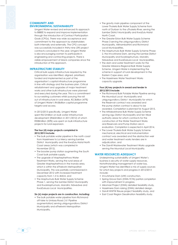# **COMMUNITY AND ENVIRONMENTAL SUSTAINABILITY**

Umgeni Water revised and enhanced its approach to BBBEE to expand and improve implementation through the introduction of Contract Participation Goals (CPGs). There was wide acceptance and commitment to the approach by stakeholders both internally and externally. The CPG concept was successfully included in thirty-nine (39) project contracts concluded in the year. Umgeni Water is also encouraging women to participate in engineering and contracting projects. There is visible empowerment of black companies since the introduction of this approach.

#### **INFRASTRUCTURE STABILITY**

Critical bulk supply infrastructure required by the organisation was identified, aligned, prioritised, funded and implemented as part of the organisation's capital infrastructure programme in line with strategy and the business plan. Critical refurbishment and upgrades of major treatment works and other bulk infrastructure were planned and executed during the year. This is a commitment to our existing customers whilst pursuing the roll out of infrastructure in rural areas. R2.3billion (47%) of Umgeni Water's R4.8billion capital programme targets rural access.

In 2012/2013 specifically, Umgeni Water spent R612million on bulk water infrastructure development (R465million in 2011/2012) of which R308million (50%) was spent on bulk infrastructure projects for rural expansion.

#### **The four (4) major projects completed in 2012/2013 include:**

- The bulk potable water pipeline in the north coast from Hazelmere to La Mercy serving iLembe District Municipality and the KwaZulu-Natal North Coast areas (which was completed in November 2012),
- The booster pump station augmenting the South Coast bulk potable supply,
- The upgrade of Maphephethwa Water Treatment Works, serving the rural areas of Greater Maphephethwa in the Inanda area, which is within the eThekwini Metropolitan Municipality. This was partially commissioned in December 2012 with increased treatment capacity from 1.5 to 4Ml/d, and
- The Maphumulo Bulk Water Supply Scheme Phase 1, serving the iLembe District Municipality and KwaMaphumulo, Mandini, Ndwedwe and KwaDukuza Local Municipalities.

#### **Six (6) major projects are in construction, including:**

• The bulk potable water pipeline from Richmond off-take to Umlaas Road ('61 Pipeline augmentation) serving uMgungundlovu District Municipality and eThekwini Metropolitan Municipality,

- The gravity main pipeline component of the Lower Thukela Bulk Water Supply Scheme from north of Durban to the uThukela River, serving the iLembe District Municipality and KwaZulu-Natal North Coast,
- The Greater Eston Bulk Water Supply Scheme Phase 3 serving the uMgungundlovu District Municipality, Mkhambathini and Richmond Local Municipalities,
- The Maphumulo Bulk Water Supply Scheme Phase 2, the Imvutshane Dam, serving the iLembe District Municipality and KwaMaphumulo, Mandini, Ndwedwe and KwaDukuza Local Municipalities,
- The dam and water treatment works for the Greater Mbizana Regional Bulk Water Supply Scheme. Umgeni Water is implementing the scheme in support of rural development in the Eastern Cape area, and
- The Hazelmere Water Treatment Works capacity upgrade.

#### **Four (4) key projects in award and tender in 2012/2013 include:**

- The Richmond Bulk Potable Water Pipeline serving the Msunduzi Local Municipality and uMgungundlovu District Municipality for which the Reservoir contract was awarded and the pump station contract is about to be awarded. Completion is planned for August 2015,
- The Mhlabatshane Bulk Water Supply Scheme serving Ugu District Municipality and ten tribal authority areas for which contracts for the construction of the Water Treatment Works and Reservoirs and Pump Station are in evaluation. Completion is expected in April 2014,
- The Lower Thukela Bulk Water Supply Scheme mechanical, electrical and instrumentation contract was awarded and the abstraction weir and water treatment works tenders are in adjudication, and
- The Darvill Wastewater Treatment Works upgrade serving the Msunduzi Local Municipality.

### **WATER RESOURCES ADEQUACY**

Underpinning sustainability of Umgeni Water's business is security of water supply resources. Notwithstanding management of water loss, Umgeni Water has identified a mix of supply sources for which key projects and progress in 2012/2013 include:

- Imvutshane Dam (UW) construction,
- Spring Grove Dam (DWA-TCTA) partial completion with impoundment in progress.
- Mkomazi Project (DWA) detailed feasibility study,
- Hazelmere Dam raising (DWA) detailed design,
- Darvill WWTW Reuse project feasibility study, and
- East Coast Region Desalination feasibility study.

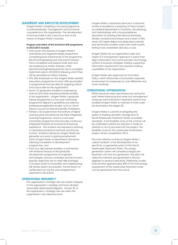# **LEADERSHIP AND EMPLOYEE DEVELOPMENT**

Umgeni Water is targeting a focused programme to build leadership, management and functional competence in the organisation. The development of technical skills is also a key focus due to the nature of Umgeni Water's business.

#### **Progress and status of the technical skill programme in 2012/2013 include:**

- Forty-seven (47) learners in Umgeni Water's Learnership and Apprenticeships programme completing level 4 (final level) of the programme. Electrical Engineering and Instruments trainees have completed and passed trade tests and are employed as Artisan Trainees, whilst Mechanical Engineering learners are to complete trade tests early in 2013/2014 following which they will be absorbed as Artisan Trainees.
- Fifty (50) employees on the Umgeni Water assisted education programme of which 45% are enrolled in programmes that are directly targeting critical and scarce skills for the organisation,
- Seven (7) graduates enrolled in engineering, science and other required professional fields in the organisation. Umgeni Water's graduate trainee programme is a two-year mentorship programme aligned to guidelines provided by professional registration bodies, such as, South African Council for Natural Scientific Professions,
- Thirteen (13) students from the Institute of Higher Learning were recruited into the Work Integrated Learning Programme, which is a one-year mentorship programme that provides continuous integrated theoretical and practical learning experience. The students are exposed to learning in Laboratory/Analytical methods and Process Control. Students trained by Umgeni Water are generally successful in gaining employment within Umgeni Water or elsewhere in the sector following completion of development programmes, and
- Forty-four (44) trainees enrolled, in partnership with National Treasury in the graduate development programme for engineers, technologists, process controllers and technicians. Specific objectives are to meet skills shortages in KwaZulu-Natal municipalities and neighbouring OR Tambo District Municipality. The first batch of certifications for this five-year programme is expected in 2014/2015.

# **OPERATIONAL RESILIENCY**

The organisation's strategic risks are clearly mapped to the organisation's strategy and have all been reasonably eliminated/mitigated. All nine (9) of the organisation's strategic risks are within the organisation's risk tolerance level.

Umgeni Water's Laboratory Services is a dynamic centre of excellence comprising of three modern accredited laboratories in Chemistry, Microbiology, and Hydrobiology with a long established reputation of meeting international standards. Modern analytical techniques and a team of fiftyseven (57) highly skilled and dedicated scientists and technicians enable world-class water quality testing to be undertaken 365 days a year.

Umgeni Water has an organisation-wide and holistic ICT management approach in place that aligns information and communication technology systems to business strategies, thereby supporting information requirements and decision-making capabilities of the organisation.

Umgeni Water also approved an Innovation Policy, which will provide a favourable corporate environment for employees to work differently and more creatively.

# **OPERATIONAL OPTIMISATION**

Water resources were used assiduously during the year. Water balancing and water loss management measures were instituted in treatment systems that enabled Umgeni Water to maintain its total water loss level below the target 5%.

Umgeni Water is currently investigating the option of treating domestic sewage from its Darvill Wastewater Treatment Works to potable standards. A full feasibility study of this scheme will be undertaken before any decision is made on whether or not to proceed with the project. The feasibility study for this wastewater reclamation project will be completed in 2014.

The main initiative to reduce Umgeni Water's carbon footprint, is the development of an electricity co-generation plant at the Darvill Wastewater Treatment Works. The energy generation system will comprise a biogas pretreatment unit and two generators. The plant will utilise the methane gas generated in the biodigesters to produce electricity. Preliminary studies indicate that approximately 40% of the total energy requirement of the wastewater treatment works can be generated from this source.

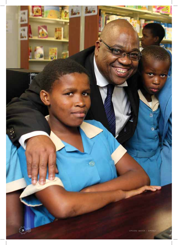

t a

 $\sum_{k=1}^{N} \sum_{j=1}^{N}$